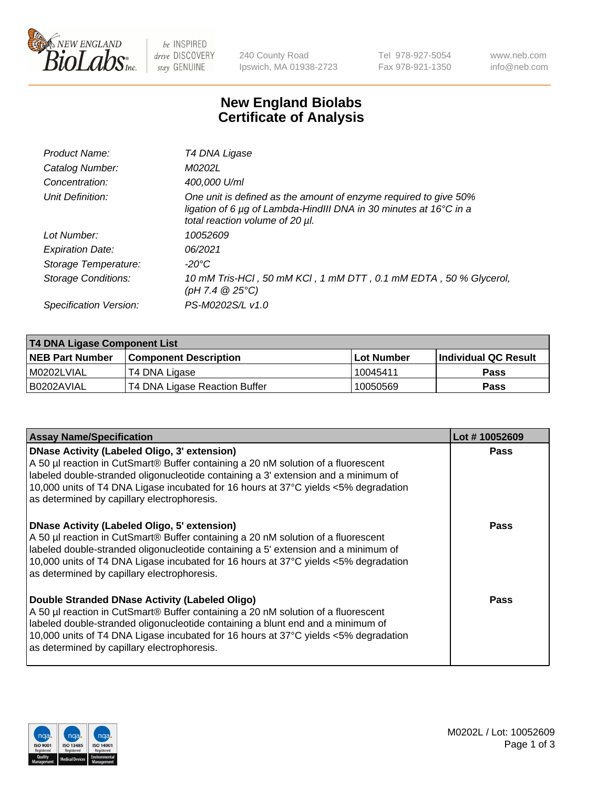

be INSPIRED drive DISCOVERY stay GENUINE

240 County Road Ipswich, MA 01938-2723 Tel 978-927-5054 Fax 978-921-1350 www.neb.com info@neb.com

## **New England Biolabs Certificate of Analysis**

| Product Name:           | T4 DNA Ligase                                                                                                                                                            |
|-------------------------|--------------------------------------------------------------------------------------------------------------------------------------------------------------------------|
| Catalog Number:         | M0202L                                                                                                                                                                   |
| Concentration:          | 400,000 U/ml                                                                                                                                                             |
| Unit Definition:        | One unit is defined as the amount of enzyme required to give 50%<br>ligation of 6 µg of Lambda-HindIII DNA in 30 minutes at 16°C in a<br>total reaction volume of 20 µl. |
| Lot Number:             | 10052609                                                                                                                                                                 |
| <b>Expiration Date:</b> | 06/2021                                                                                                                                                                  |
| Storage Temperature:    | $-20^{\circ}$ C                                                                                                                                                          |
| Storage Conditions:     | 10 mM Tris-HCl, 50 mM KCl, 1 mM DTT, 0.1 mM EDTA, 50 % Glycerol,<br>(pH 7.4 $@25°C$ )                                                                                    |
| Specification Version:  | PS-M0202S/L v1.0                                                                                                                                                         |

| T4 DNA Ligase Component List |                               |                   |                      |  |
|------------------------------|-------------------------------|-------------------|----------------------|--|
| <b>NEB Part Number</b>       | <b>Component Description</b>  | <b>Lot Number</b> | Individual QC Result |  |
| I M0202LVIAL                 | T4 DNA Ligase                 | 10045411          | <b>Pass</b>          |  |
| I B0202AVIAL                 | T4 DNA Ligase Reaction Buffer | 10050569          | <b>Pass</b>          |  |

| <b>Assay Name/Specification</b>                                                                                                                                                                                                                                                                                                                                      | Lot #10052609 |
|----------------------------------------------------------------------------------------------------------------------------------------------------------------------------------------------------------------------------------------------------------------------------------------------------------------------------------------------------------------------|---------------|
| <b>DNase Activity (Labeled Oligo, 3' extension)</b><br>A 50 µl reaction in CutSmart® Buffer containing a 20 nM solution of a fluorescent<br>labeled double-stranded oligonucleotide containing a 3' extension and a minimum of<br>10,000 units of T4 DNA Ligase incubated for 16 hours at 37°C yields <5% degradation<br>as determined by capillary electrophoresis. | <b>Pass</b>   |
| <b>DNase Activity (Labeled Oligo, 5' extension)</b><br>A 50 µl reaction in CutSmart® Buffer containing a 20 nM solution of a fluorescent<br>labeled double-stranded oligonucleotide containing a 5' extension and a minimum of<br>10,000 units of T4 DNA Ligase incubated for 16 hours at 37°C yields <5% degradation<br>as determined by capillary electrophoresis. | Pass          |
| Double Stranded DNase Activity (Labeled Oligo)<br>A 50 µl reaction in CutSmart® Buffer containing a 20 nM solution of a fluorescent<br>labeled double-stranded oligonucleotide containing a blunt end and a minimum of<br>10,000 units of T4 DNA Ligase incubated for 16 hours at 37°C yields <5% degradation<br>as determined by capillary electrophoresis.         | Pass          |

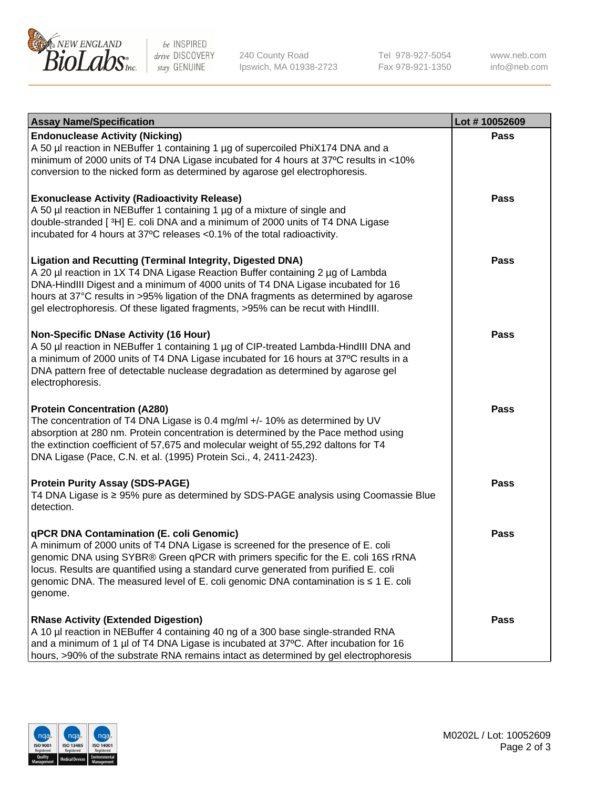

be INSPIRED drive DISCOVERY stay GENUINE

240 County Road Ipswich, MA 01938-2723 Tel 978-927-5054 Fax 978-921-1350

www.neb.com info@neb.com

| <b>Assay Name/Specification</b>                                                                                                                                                                                                                                                                                                                                                                                    | Lot #10052609 |
|--------------------------------------------------------------------------------------------------------------------------------------------------------------------------------------------------------------------------------------------------------------------------------------------------------------------------------------------------------------------------------------------------------------------|---------------|
| <b>Endonuclease Activity (Nicking)</b><br>A 50 µl reaction in NEBuffer 1 containing 1 µg of supercoiled PhiX174 DNA and a<br>minimum of 2000 units of T4 DNA Ligase incubated for 4 hours at 37°C results in <10%<br>conversion to the nicked form as determined by agarose gel electrophoresis.                                                                                                                   | <b>Pass</b>   |
| <b>Exonuclease Activity (Radioactivity Release)</b><br>A 50 µl reaction in NEBuffer 1 containing 1 µg of a mixture of single and<br>double-stranded [3H] E. coli DNA and a minimum of 2000 units of T4 DNA Ligase<br>incubated for 4 hours at 37°C releases <0.1% of the total radioactivity.                                                                                                                      | <b>Pass</b>   |
| <b>Ligation and Recutting (Terminal Integrity, Digested DNA)</b><br>A 20 µl reaction in 1X T4 DNA Ligase Reaction Buffer containing 2 µg of Lambda<br>DNA-HindIII Digest and a minimum of 4000 units of T4 DNA Ligase incubated for 16<br>hours at 37°C results in >95% ligation of the DNA fragments as determined by agarose<br>gel electrophoresis. Of these ligated fragments, >95% can be recut with HindIII. | <b>Pass</b>   |
| <b>Non-Specific DNase Activity (16 Hour)</b><br>A 50 µl reaction in NEBuffer 1 containing 1 µg of CIP-treated Lambda-HindIII DNA and<br>a minimum of 2000 units of T4 DNA Ligase incubated for 16 hours at 37°C results in a<br>DNA pattern free of detectable nuclease degradation as determined by agarose gel<br>electrophoresis.                                                                               | <b>Pass</b>   |
| <b>Protein Concentration (A280)</b><br>The concentration of T4 DNA Ligase is 0.4 mg/ml +/- 10% as determined by UV<br>absorption at 280 nm. Protein concentration is determined by the Pace method using<br>the extinction coefficient of 57,675 and molecular weight of 55,292 daltons for T4<br>DNA Ligase (Pace, C.N. et al. (1995) Protein Sci., 4, 2411-2423).                                                | <b>Pass</b>   |
| <b>Protein Purity Assay (SDS-PAGE)</b><br>T4 DNA Ligase is ≥ 95% pure as determined by SDS-PAGE analysis using Coomassie Blue<br>detection.                                                                                                                                                                                                                                                                        | <b>Pass</b>   |
| qPCR DNA Contamination (E. coli Genomic)<br>A minimum of 2000 units of T4 DNA Ligase is screened for the presence of E. coli<br>genomic DNA using SYBR® Green qPCR with primers specific for the E. coli 16S rRNA<br>locus. Results are quantified using a standard curve generated from purified E. coli<br>genomic DNA. The measured level of E. coli genomic DNA contamination is ≤ 1 E. coli<br>genome.        | Pass          |
| <b>RNase Activity (Extended Digestion)</b><br>A 10 µl reaction in NEBuffer 4 containing 40 ng of a 300 base single-stranded RNA<br>and a minimum of 1 µl of T4 DNA Ligase is incubated at 37°C. After incubation for 16<br>hours, >90% of the substrate RNA remains intact as determined by gel electrophoresis                                                                                                    | <b>Pass</b>   |